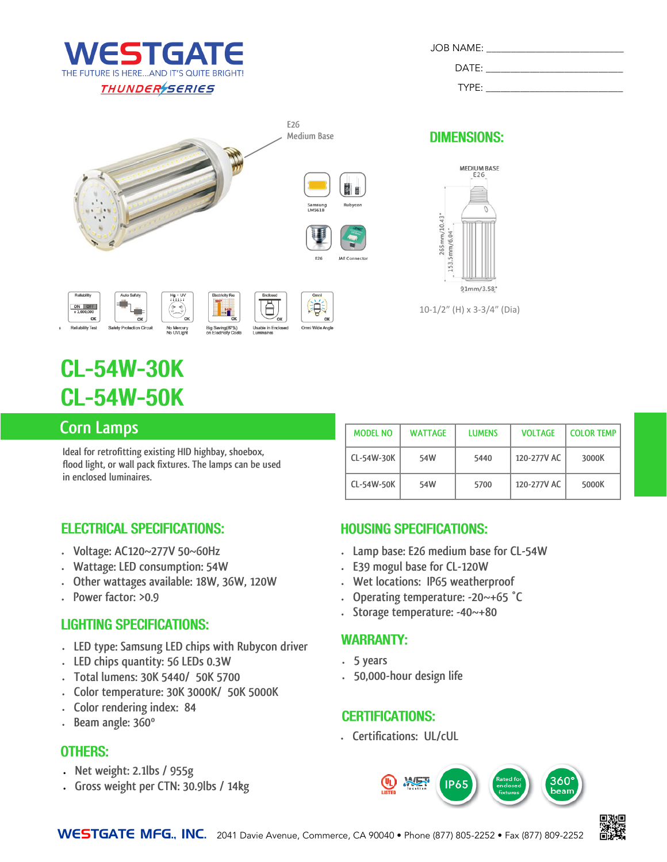

| <b>JOB NAME:</b> |  |
|------------------|--|
| DATE:            |  |
| TYPF:            |  |



Big Saving(87%)<br>on Flectricity Cos

able in Er

**DIMENSIONS:** 



# **CL-54W-30K CL-54W-50K**

OK Safety Protection Circu

### **Corn Lamps**

**Ideal for retrofitting existing HID highbay, shoebox, flood light, or wall pack fixtures. The lamps can be used in enclosed luminaires.**

No Mercury<br>No UVLight

| <b>MODEL NO</b> | <b>WATTAGE</b> | <b>LUMENS</b> | <b>VOLTAGE</b> | <b>COLOR TEMP</b> |
|-----------------|----------------|---------------|----------------|-------------------|
| CL-54W-30K      | 54W            | 5440          | 120-277V AC    | 3000K             |
| CL-54W-50K      | 54W            | 5700          | 120-277V AC    | 5000K             |

#### **ELECTRICAL SPECIFICATIONS:**

- **Voltage: AC120~277V 50~60Hz**
- **Wattage: LED consumption: 54W**
- **Other wattages available: 18W, 36W, 120W**
- **Power factor: >0.9**

#### **LIGHTING SPECIFICATIONS:**

- **LED type: Samsung LED chips with Rubycon driver**
- **LED chips quantity: 56 LEDs 0.3W**
- **Total lumens: 30K 5440/ 50K 5700**
- **Color temperature: 30K 3000K/ 50K 5000K**
- **Color rendering index: 84**
- **Beam angle: 360º**

#### **OTHERS:**

- **Net weight: 2.1lbs / 955g**
- **Gross weight per CTN: 30.9lbs / 14kg**

#### **HOUSING SPECIFICATIONS:**

- **Lamp base: E26 medium base for CL-54W**
- **E39 mogul base for CL-120W**
- **Wet locations: IP65 weatherproof**
- **Operating temperature: -20~+65 °C**
- **Storage temperature: -40~+80**

#### **WARRANTY:**

- **5 years**
- **50,000-hour design life**

#### **CERTIFICATIONS:**

**Certifications: UL/cUL**